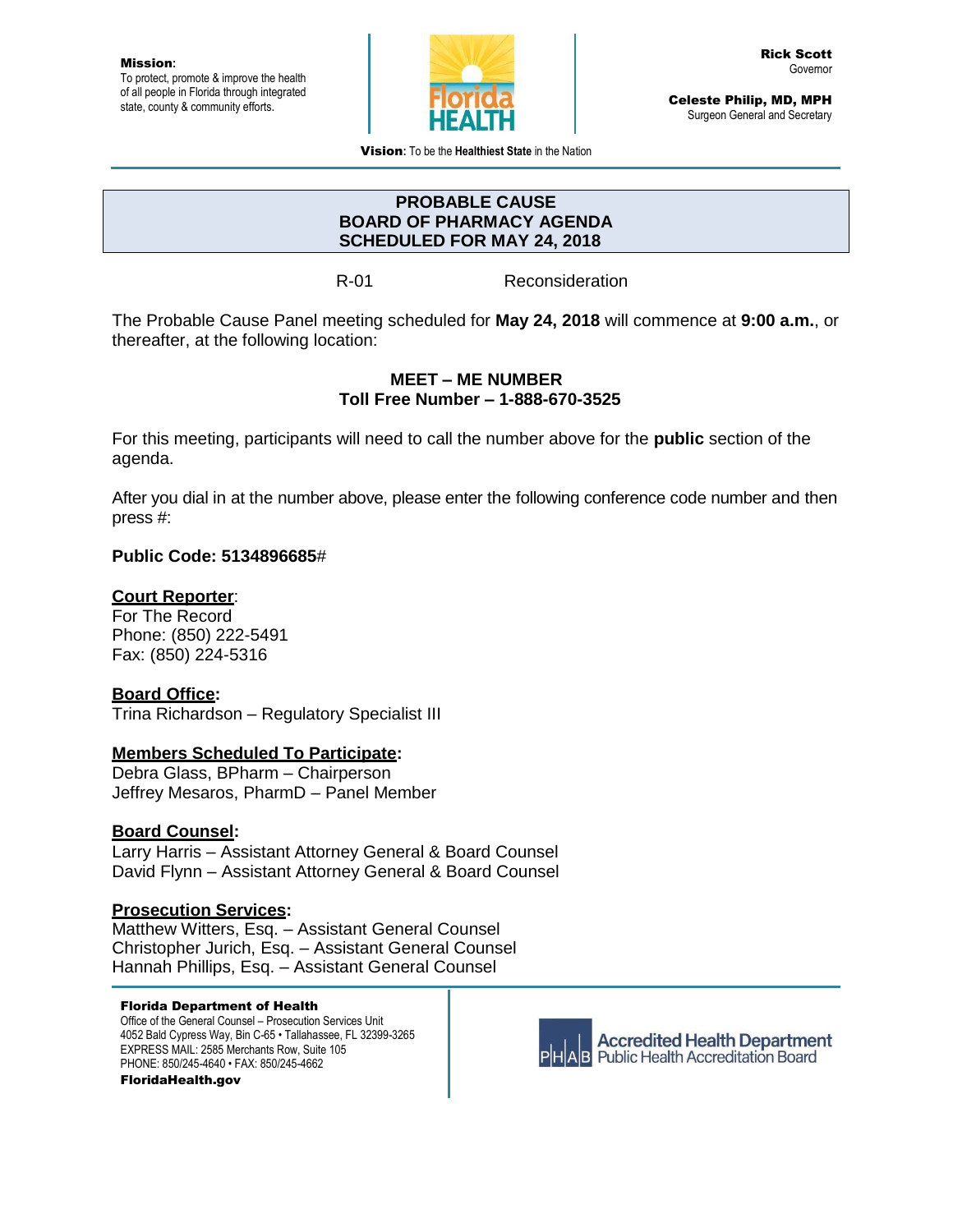

Celeste Philip, MD, MPH Surgeon General and Secretary

Vision**:** To be the **Healthiest State** in the Nation

### **PROBABLE CAUSE BOARD OF PHARMACY AGENDA SCHEDULED FOR MAY 24, 2018**

R-01 Reconsideration

The Probable Cause Panel meeting scheduled for **May 24, 2018** will commence at **9:00 a.m.**, or thereafter, at the following location:

# **MEET – ME NUMBER Toll Free Number – 1-888-670-3525**

For this meeting, participants will need to call the number above for the **public** section of the agenda.

After you dial in at the number above, please enter the following conference code number and then press #:

# **Public Code: 5134896685**#

# **Court Reporter**:

For The Record Phone: (850) 222-5491 Fax: (850) 224-5316

# **Board Office:**

Trina Richardson – Regulatory Specialist III

#### **Members Scheduled To Participate:**

Debra Glass, BPharm – Chairperson Jeffrey Mesaros, PharmD – Panel Member

#### **Board Counsel:**

Larry Harris – Assistant Attorney General & Board Counsel David Flynn – Assistant Attorney General & Board Counsel

# **Prosecution Services:**

Matthew Witters, Esq. – Assistant General Counsel Christopher Jurich, Esq. – Assistant General Counsel Hannah Phillips, Esq. – Assistant General Counsel

#### Florida Department of Health

Office of the General Counsel – Prosecution Services Unit 4052 Bald Cypress Way, Bin C-65 • Tallahassee, FL 32399-3265 EXPRESS MAIL: 2585 Merchants Row, Suite 105 PHONE: 850/245-4640 • FAX: 850/245-4662

FloridaHealth.gov



**Accredited Health Department AB** Public Health Accreditation Board